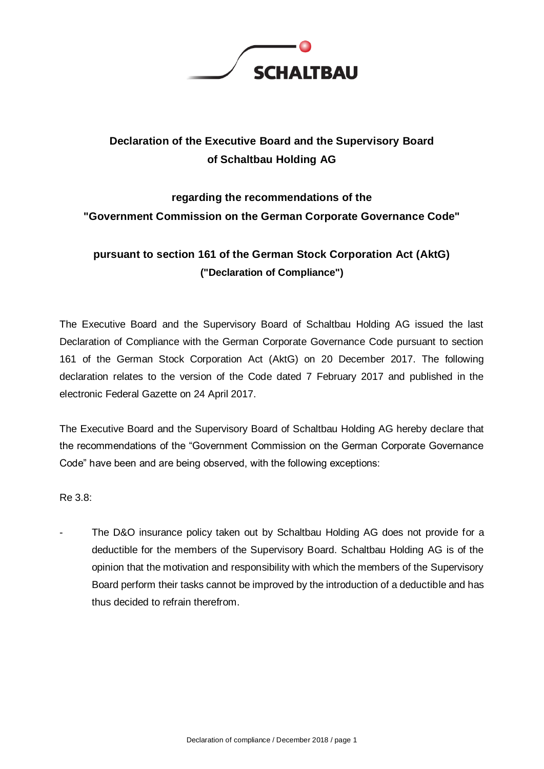

## **Declaration of the Executive Board and the Supervisory Board of Schaltbau Holding AG**

# **regarding the recommendations of the "Government Commission on the German Corporate Governance Code"**

### **pursuant to section 161 of the German Stock Corporation Act (AktG) ("Declaration of Compliance")**

The Executive Board and the Supervisory Board of Schaltbau Holding AG issued the last Declaration of Compliance with the German Corporate Governance Code pursuant to section 161 of the German Stock Corporation Act (AktG) on 20 December 2017. The following declaration relates to the version of the Code dated 7 February 2017 and published in the electronic Federal Gazette on 24 April 2017.

The Executive Board and the Supervisory Board of Schaltbau Holding AG hereby declare that the recommendations of the "Government Commission on the German Corporate Governance Code" have been and are being observed, with the following exceptions:

Re 3.8:

The D&O insurance policy taken out by Schaltbau Holding AG does not provide for a deductible for the members of the Supervisory Board. Schaltbau Holding AG is of the opinion that the motivation and responsibility with which the members of the Supervisory Board perform their tasks cannot be improved by the introduction of a deductible and has thus decided to refrain therefrom.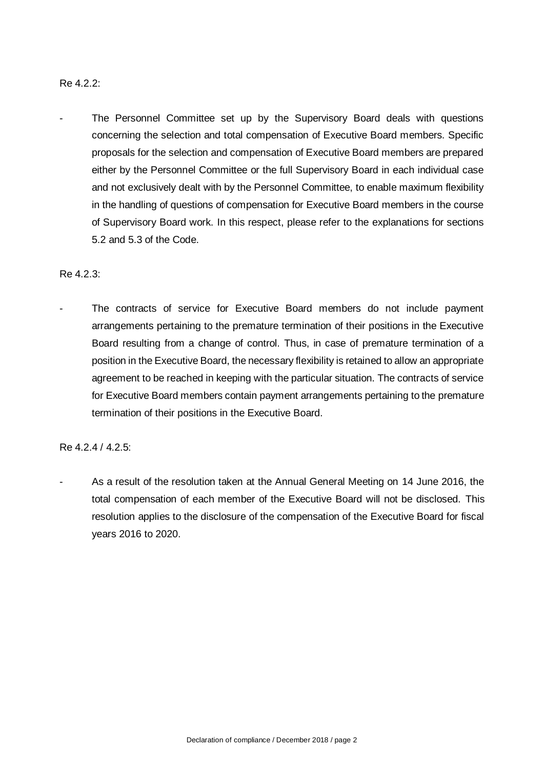#### Re 4.2.2:

The Personnel Committee set up by the Supervisory Board deals with questions concerning the selection and total compensation of Executive Board members. Specific proposals for the selection and compensation of Executive Board members are prepared either by the Personnel Committee or the full Supervisory Board in each individual case and not exclusively dealt with by the Personnel Committee, to enable maximum flexibility in the handling of questions of compensation for Executive Board members in the course of Supervisory Board work. In this respect, please refer to the explanations for sections 5.2 and 5.3 of the Code.

#### Re 4.2.3:

The contracts of service for Executive Board members do not include payment arrangements pertaining to the premature termination of their positions in the Executive Board resulting from a change of control. Thus, in case of premature termination of a position in the Executive Board, the necessary flexibility is retained to allow an appropriate agreement to be reached in keeping with the particular situation. The contracts of service for Executive Board members contain payment arrangements pertaining to the premature termination of their positions in the Executive Board.

#### Re 4.2.4 / 4.2.5:

As a result of the resolution taken at the Annual General Meeting on 14 June 2016, the total compensation of each member of the Executive Board will not be disclosed. This resolution applies to the disclosure of the compensation of the Executive Board for fiscal years 2016 to 2020.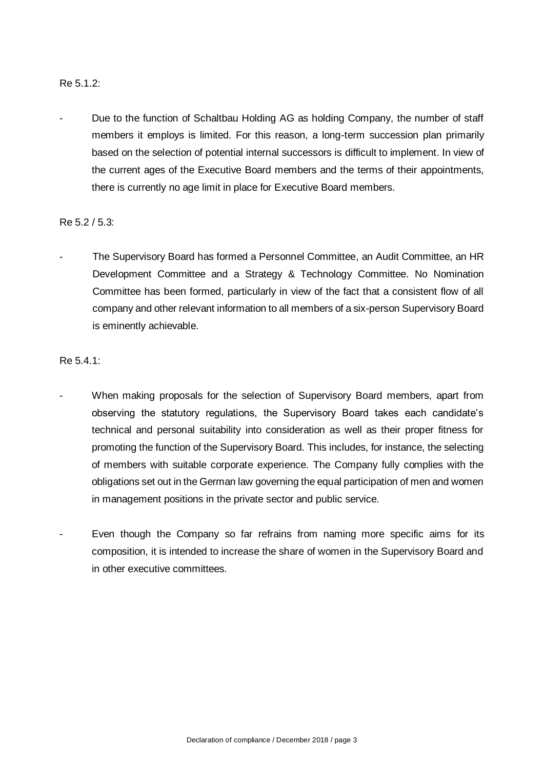#### Re 5.1.2:

Due to the function of Schaltbau Holding AG as holding Company, the number of staff members it employs is limited. For this reason, a long-term succession plan primarily based on the selection of potential internal successors is difficult to implement. In view of the current ages of the Executive Board members and the terms of their appointments, there is currently no age limit in place for Executive Board members.

#### Re 5.2 / 5.3:

The Supervisory Board has formed a Personnel Committee, an Audit Committee, an HR Development Committee and a Strategy & Technology Committee. No Nomination Committee has been formed, particularly in view of the fact that a consistent flow of all company and other relevant information to all members of a six-person Supervisory Board is eminently achievable.

#### Re 5.4.1:

- When making proposals for the selection of Supervisory Board members, apart from observing the statutory regulations, the Supervisory Board takes each candidate's technical and personal suitability into consideration as well as their proper fitness for promoting the function of the Supervisory Board. This includes, for instance, the selecting of members with suitable corporate experience. The Company fully complies with the obligations set out in the German law governing the equal participation of men and women in management positions in the private sector and public service.
- Even though the Company so far refrains from naming more specific aims for its composition, it is intended to increase the share of women in the Supervisory Board and in other executive committees.